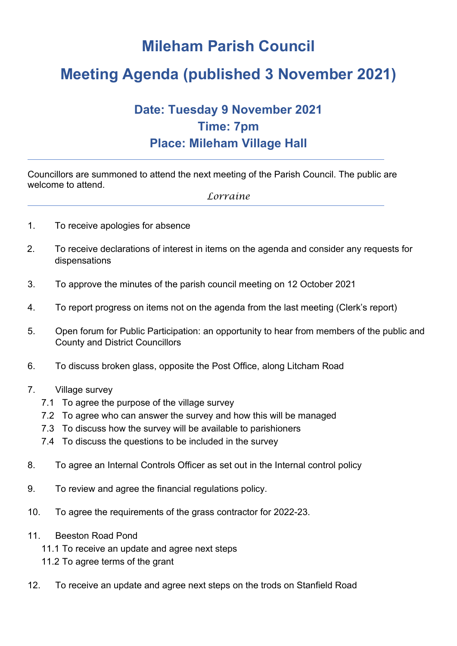# **Mileham Parish Council**

# **Meeting Agenda (published 3 November 2021)**

## **Date: Tuesday 9 November 2021 Time: 7pm Place: Mileham Village Hall**

Councillors are summoned to attend the next meeting of the Parish Council. The public are welcome to attend.

*Lorraine*

- 1. To receive apologies for absence
- 2. To receive declarations of interest in items on the agenda and consider any requests for dispensations
- 3. To approve the minutes of the parish council meeting on 12 October 2021
- 4. To report progress on items not on the agenda from the last meeting (Clerk's report)
- 5. Open forum for Public Participation: an opportunity to hear from members of the public and County and District Councillors
- 6. To discuss broken glass, opposite the Post Office, along Litcham Road
- 7. Village survey
	- 7.1 To agree the purpose of the village survey
	- 7.2 To agree who can answer the survey and how this will be managed
	- 7.3 To discuss how the survey will be available to parishioners
	- 7.4 To discuss the questions to be included in the survey
- 8. To agree an Internal Controls Officer as set out in the Internal control policy
- 9. To review and agree the financial regulations policy.
- 10. To agree the requirements of the grass contractor for 2022-23.
- 11. Beeston Road Pond
	- 11.1 To receive an update and agree next steps
	- 11.2 To agree terms of the grant
- 12. To receive an update and agree next steps on the trods on Stanfield Road